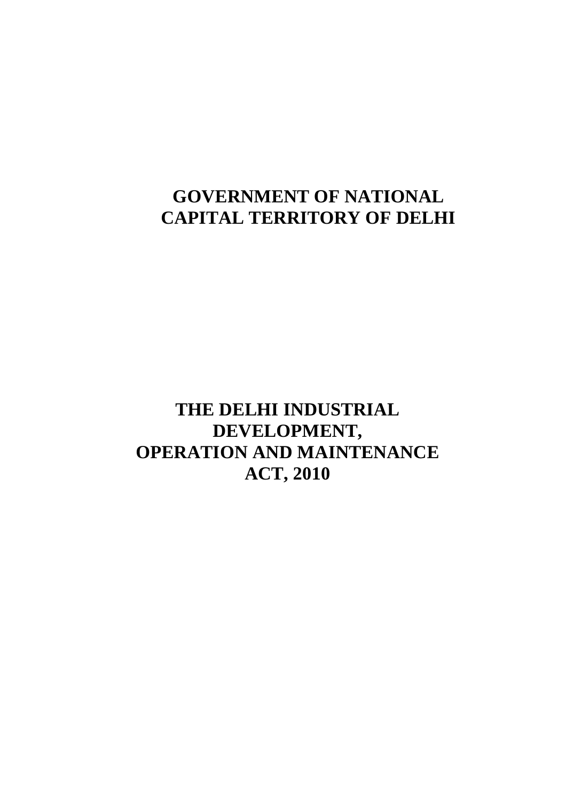# **GOVERNMENT OF NATIONAL CAPITAL TERRITORY OF DELHI**

 **THE DELHI INDUSTRIAL OPERATION AND MAINTENANCE ACT, 2010 DEVELOPMENT,**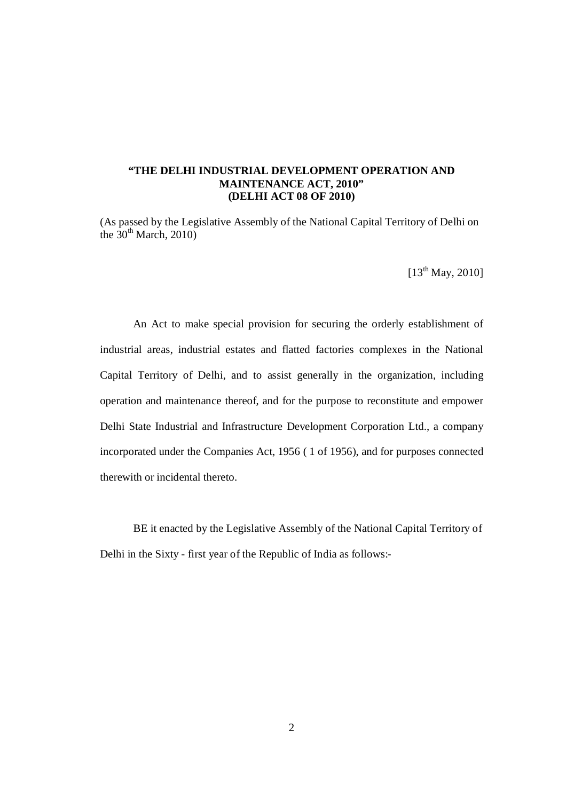#### **"THE DELHI INDUSTRIAL DEVELOPMENT OPERATION AND MAINTENANCE ACT, 2010" (DELHI ACT 08 OF 2010)**

 (As passed by the Legislative Assembly of the National Capital Territory of Delhi on the  $30<sup>th</sup>$  March, 2010)

 $[13^{th}$  May, 2010]

 An Act to make special provision for securing the orderly establishment of industrial areas, industrial estates and flatted factories complexes in the National Capital Territory of Delhi, and to assist generally in the organization, including operation and maintenance thereof, and for the purpose to reconstitute and empower Delhi State Industrial and Infrastructure Development Corporation Ltd., a company incorporated under the Companies Act, 1956 ( 1 of 1956), and for purposes connected therewith or incidental thereto.

 Delhi in the Sixty - first year of the Republic of India as follows: BE it enacted by the Legislative Assembly of the National Capital Territory of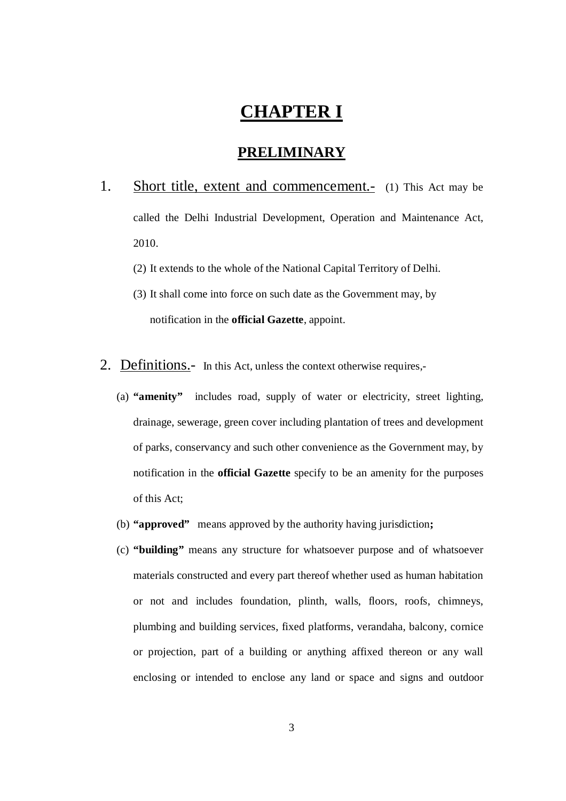# **CHAPTER I**

#### **PRELIMINARY**

- $1.$  called the Delhi Industrial Development, Operation and Maintenance Act, Short title, extent and commencement.- (1) This Act may be 2010.
	- (2) It extends to the whole of the National Capital Territory of Delhi.
	- (3) It shall come into force on such date as the Government may, by notification in the **official Gazette**, appoint.
- 2. Definitions.- In this Act, unless the context otherwise requires,-
	- (a) **"amenity"** includes road, supply of water or electricity, street lighting, drainage, sewerage, green cover including plantation of trees and development of parks, conservancy and such other convenience as the Government may, by notification in the **official Gazette** specify to be an amenity for the purposes of this Act;
	- (b) **"approved"** means approved by the authority having jurisdiction**;**
	- (c) **"building"** means any structure for whatsoever purpose and of whatsoever materials constructed and every part thereof whether used as human habitation or not and includes foundation, plinth, walls, floors, roofs, chimneys, plumbing and building services, fixed platforms, verandaha, balcony, cornice or projection, part of a building or anything affixed thereon or any wall enclosing or intended to enclose any land or space and signs and outdoor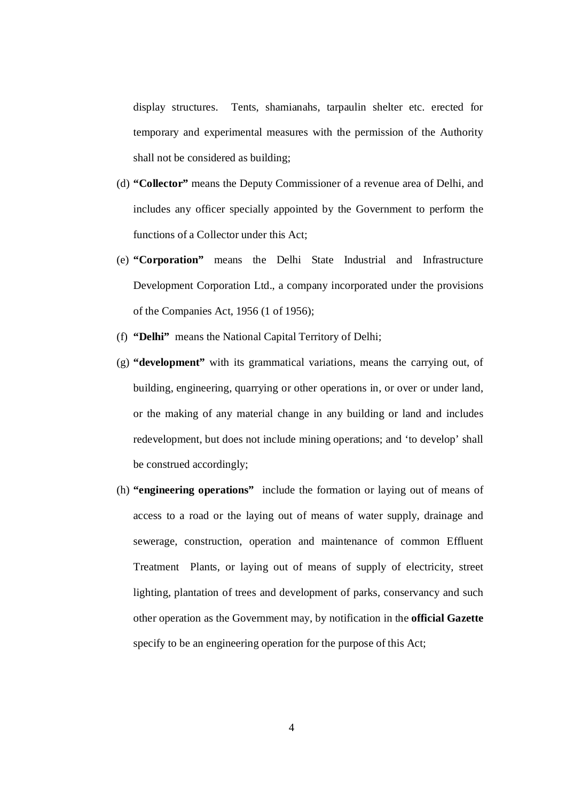display structures. Tents, shamianahs, tarpaulin shelter etc. erected for temporary and experimental measures with the permission of the Authority shall not be considered as building;

- (d) **"Collector"** means the Deputy Commissioner of a revenue area of Delhi, and includes any officer specially appointed by the Government to perform the functions of a Collector under this Act;
- (e) **"Corporation"** means the Delhi State Industrial and Infrastructure Development Corporation Ltd., a company incorporated under the provisions of the Companies Act, 1956 (1 of 1956);
- (f) **"Delhi"** means the National Capital Territory of Delhi;
- (g) **"development"** with its grammatical variations, means the carrying out, of building, engineering, quarrying or other operations in, or over or under land, or the making of any material change in any building or land and includes redevelopment, but does not include mining operations; and 'to develop' shall be construed accordingly;
- (h) **"engineering operations"** include the formation or laying out of means of access to a road or the laying out of means of water supply, drainage and sewerage, construction, operation and maintenance of common Effluent Treatment Plants, or laying out of means of supply of electricity, street lighting, plantation of trees and development of parks, conservancy and such other operation as the Government may, by notification in the **official Gazette**  specify to be an engineering operation for the purpose of this Act;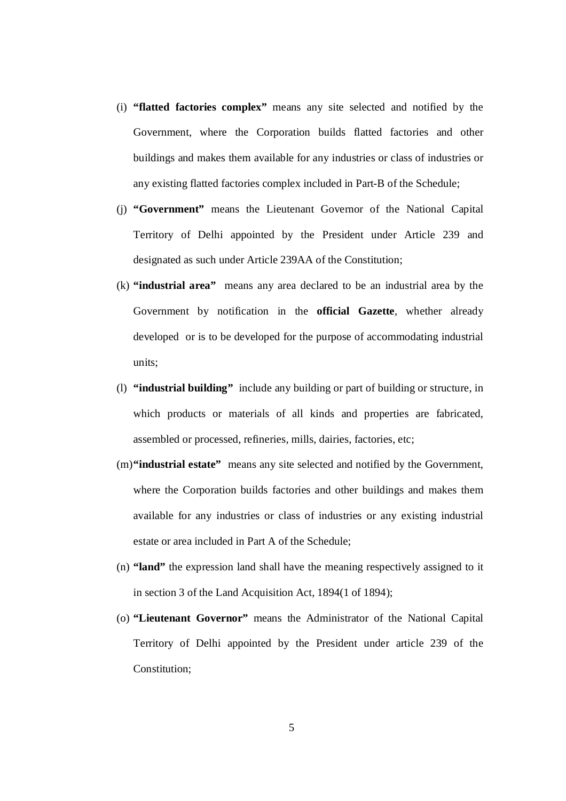- (i) **"flatted factories complex"** means any site selected and notified by the Government, where the Corporation builds flatted factories and other buildings and makes them available for any industries or class of industries or any existing flatted factories complex included in Part-B of the Schedule;
- (j) **"Government"** means the Lieutenant Governor of the National Capital Territory of Delhi appointed by the President under Article 239 and designated as such under Article 239AA of the Constitution;
- (k) **"industrial area"** means any area declared to be an industrial area by the Government by notification in the **official Gazette**, whether already developed or is to be developed for the purpose of accommodating industrial units;
- (l) **"industrial building"** include any building or part of building or structure, in which products or materials of all kinds and properties are fabricated, assembled or processed, refineries, mills, dairies, factories, etc;
- (m)**"industrial estate"** means any site selected and notified by the Government, where the Corporation builds factories and other buildings and makes them available for any industries or class of industries or any existing industrial estate or area included in Part A of the Schedule;
- (n) **"land"** the expression land shall have the meaning respectively assigned to it in section 3 of the Land Acquisition Act, 1894(1 of 1894);
- (o) **"Lieutenant Governor"** means the Administrator of the National Capital Territory of Delhi appointed by the President under article 239 of the Constitution;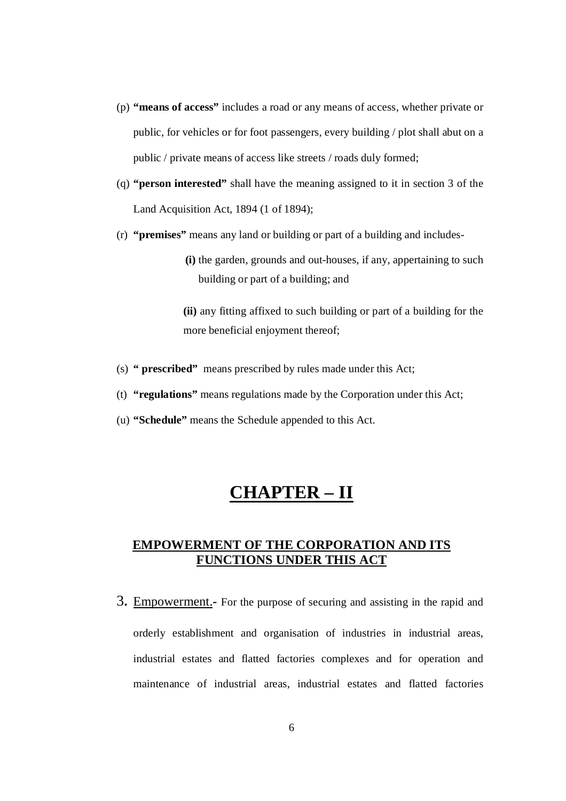- (p) **"means of access"** includes a road or any means of access, whether private or public, for vehicles or for foot passengers, every building / plot shall abut on a public / private means of access like streets / roads duly formed;
- (q) **"person interested"** shall have the meaning assigned to it in section 3 of the Land Acquisition Act, 1894 (1 of 1894);
- (r) **"premises"** means any land or building or part of a building and includes

 **(i)** the garden, grounds and out-houses, if any, appertaining to such building or part of a building; and

 **(ii)** any fitting affixed to such building or part of a building for the more beneficial enjoyment thereof;

- (s) **" prescribed"** means prescribed by rules made under this Act;
- (t) **"regulations"** means regulations made by the Corporation under this Act;
- (u) **"Schedule"** means the Schedule appended to this Act.

# **CHAPTER – II**

#### **EMPOWERMENT OF THE CORPORATION AND ITS FUNCTIONS UNDER THIS ACT**

 3**.** Empowerment.**-** For the purpose of securing and assisting in the rapid and orderly establishment and organisation of industries in industrial areas, industrial estates and flatted factories complexes and for operation and maintenance of industrial areas, industrial estates and flatted factories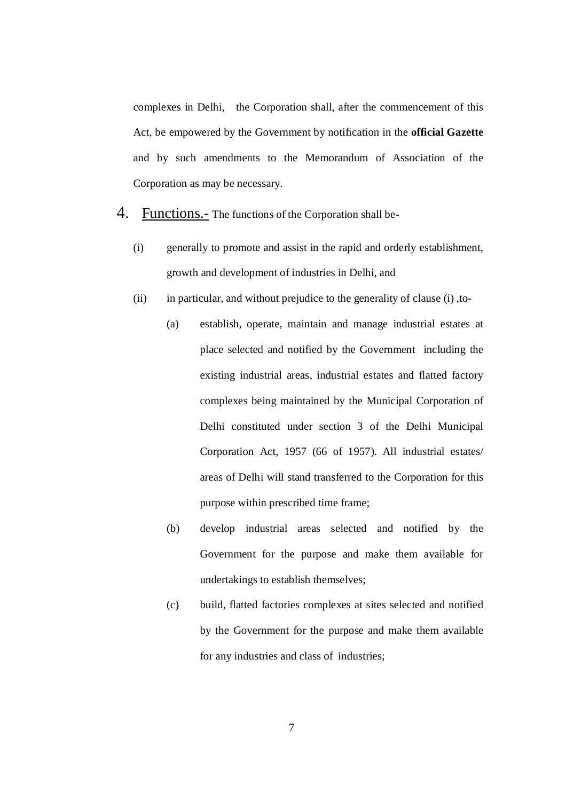complexes in Delhi, the Corporation shall, after the commencement of this Act, be empowered by the Government by notification in the **official Gazette**  and by such amendments to the Memorandum of Association of the Corporation as may be necessary.

- 4. Functions.- The functions of the Corporation shall be-
	- (i) generally to promote and assist in the rapid and orderly establishment, growth and development of industries in Delhi, and
	- $(ii)$ in particular, and without prejudice to the generality of clause (i), to-
		- (a) establish, operate, maintain and manage industrial estates at place selected and notified by the Government including the existing industrial areas, industrial estates and flatted factory complexes being maintained by the Municipal Corporation of Delhi constituted under section 3 of the Delhi Municipal Corporation Act, 1957 (66 of 1957). All industrial estates/ areas of Delhi will stand transferred to the Corporation for this purpose within prescribed time frame;
		- (b) develop industrial areas selected and notified by the Government for the purpose and make them available for undertakings to establish themselves;
		- (c) build, flatted factories complexes at sites selected and notified by the Government for the purpose and make them available for any industries and class of industries;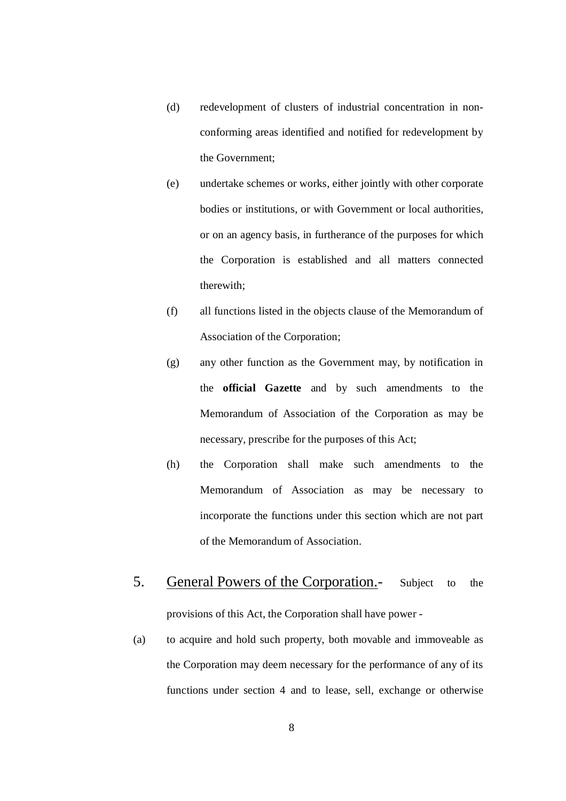- (d) redevelopment of clusters of industrial concentration in non- conforming areas identified and notified for redevelopment by the Government;
- (e) undertake schemes or works, either jointly with other corporate bodies or institutions, or with Government or local authorities, or on an agency basis, in furtherance of the purposes for which the Corporation is established and all matters connected therewith;
- (f) all functions listed in the objects clause of the Memorandum of Association of the Corporation;
- (g) any other function as the Government may, by notification in the **official Gazette** and by such amendments to the Memorandum of Association of the Corporation as may be necessary, prescribe for the purposes of this Act;
- (h) the Corporation shall make such amendments to the Memorandum of Association as may be necessary to incorporate the functions under this section which are not part of the Memorandum of Association.
- 5. provisions of this Act, the Corporation shall have power General Powers of the Corporation.- Subject to the
- (a) to acquire and hold such property, both movable and immoveable as the Corporation may deem necessary for the performance of any of its functions under section 4 and to lease, sell, exchange or otherwise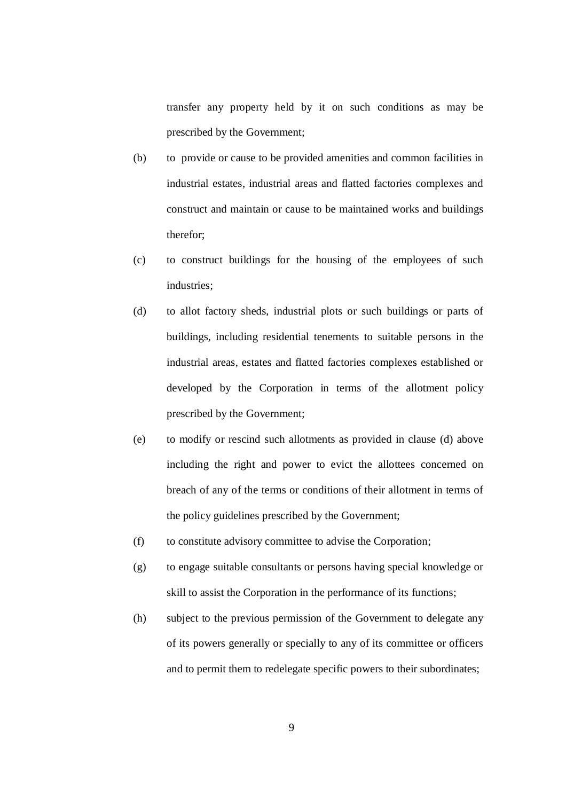transfer any property held by it on such conditions as may be prescribed by the Government;

- (b) to provide or cause to be provided amenities and common facilities in industrial estates, industrial areas and flatted factories complexes and construct and maintain or cause to be maintained works and buildings therefor;
- (c) to construct buildings for the housing of the employees of such industries;
- (d) to allot factory sheds, industrial plots or such buildings or parts of buildings, including residential tenements to suitable persons in the industrial areas, estates and flatted factories complexes established or developed by the Corporation in terms of the allotment policy prescribed by the Government;
- (e) to modify or rescind such allotments as provided in clause (d) above including the right and power to evict the allottees concerned on breach of any of the terms or conditions of their allotment in terms of the policy guidelines prescribed by the Government;
- (f) to constitute advisory committee to advise the Corporation;
- (g) to engage suitable consultants or persons having special knowledge or skill to assist the Corporation in the performance of its functions;
- (h) subject to the previous permission of the Government to delegate any of its powers generally or specially to any of its committee or officers and to permit them to redelegate specific powers to their subordinates;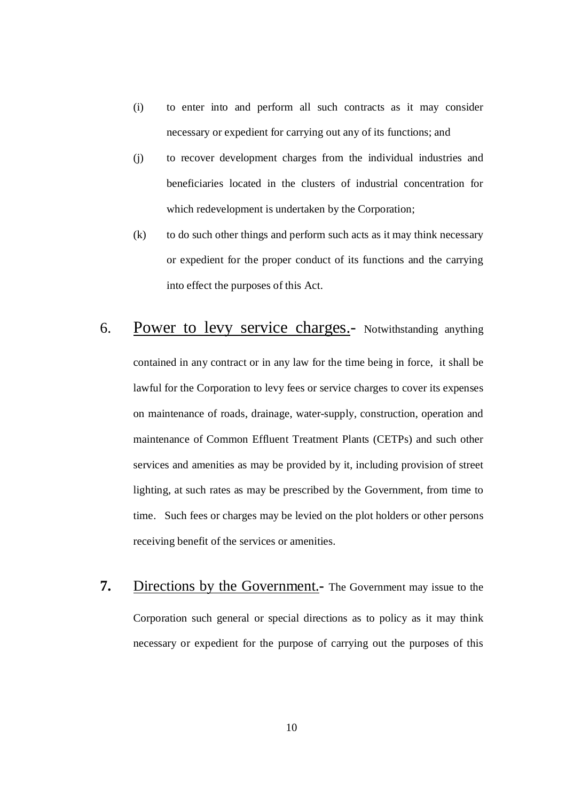- (i) to enter into and perform all such contracts as it may consider necessary or expedient for carrying out any of its functions; and
- (j) to recover development charges from the individual industries and beneficiaries located in the clusters of industrial concentration for which redevelopment is undertaken by the Corporation;
- (k) to do such other things and perform such acts as it may think necessary or expedient for the proper conduct of its functions and the carrying into effect the purposes of this Act.
- 6. Power to levy service charges.- Notwithstanding anything contained in any contract or in any law for the time being in force, it shall be lawful for the Corporation to levy fees or service charges to cover its expenses on maintenance of roads, drainage, water-supply, construction, operation and maintenance of Common Effluent Treatment Plants (CETPs) and such other services and amenities as may be provided by it, including provision of street lighting, at such rates as may be prescribed by the Government, from time to time. Such fees or charges may be levied on the plot holders or other persons receiving benefit of the services or amenities.
- **7.** Directions by the Government.- The Government may issue to the Corporation such general or special directions as to policy as it may think necessary or expedient for the purpose of carrying out the purposes of this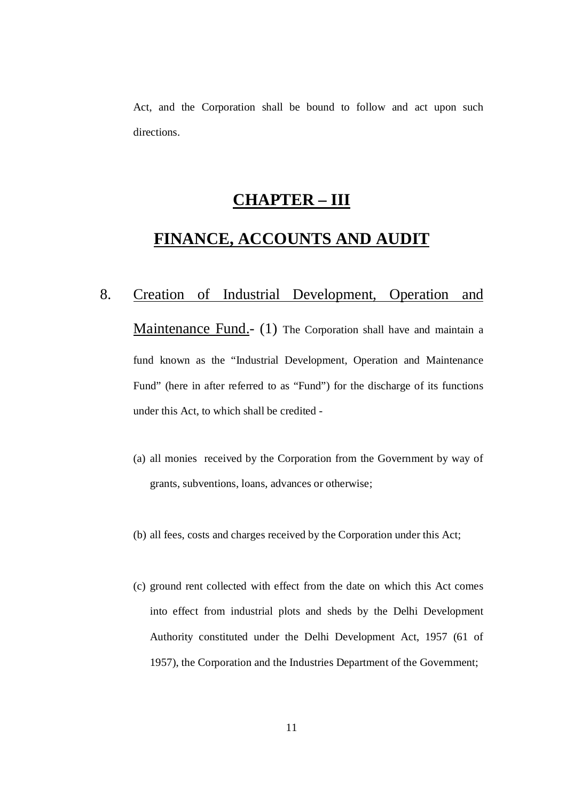Act, and the Corporation shall be bound to follow and act upon such directions.

## **CHAPTER – III**

## **FINANCE, ACCOUNTS AND AUDIT**

# 8. Maintenance Fund.- (1) The Corporation shall have and maintain a fund known as the "Industrial Development, Operation and Maintenance Fund" (here in after referred to as "Fund") for the discharge of its functions under this Act, to which shall be credited 8. Creation of Industrial Development, Operation and

- (a) all monies received by the Corporation from the Government by way of grants, subventions, loans, advances or otherwise;
- (b) all fees, costs and charges received by the Corporation under this Act;
- (c) ground rent collected with effect from the date on which this Act comes into effect from industrial plots and sheds by the Delhi Development Authority constituted under the Delhi Development Act, 1957 (61 of 1957), the Corporation and the Industries Department of the Government;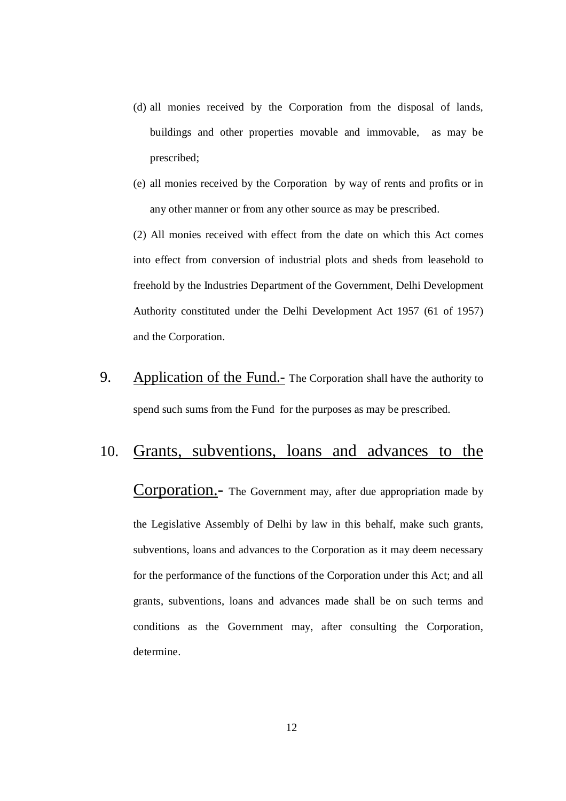- (d) all monies received by the Corporation from the disposal of lands, buildings and other properties movable and immovable, as may be prescribed;
- (e) all monies received by the Corporation by way of rents and profits or in any other manner or from any other source as may be prescribed.

 (2) All monies received with effect from the date on which this Act comes into effect from conversion of industrial plots and sheds from leasehold to freehold by the Industries Department of the Government, Delhi Development Authority constituted under the Delhi Development Act 1957 (61 of 1957) and the Corporation.

9. Application of the Fund.- The Corporation shall have the authority to spend such sums from the Fund for the purposes as may be prescribed.

### 10. Grants, subventions, loans and advances to the

Corporation.- The Government may, after due appropriation made by the Legislative Assembly of Delhi by law in this behalf, make such grants, subventions, loans and advances to the Corporation as it may deem necessary for the performance of the functions of the Corporation under this Act; and all grants, subventions, loans and advances made shall be on such terms and conditions as the Government may, after consulting the Corporation, determine.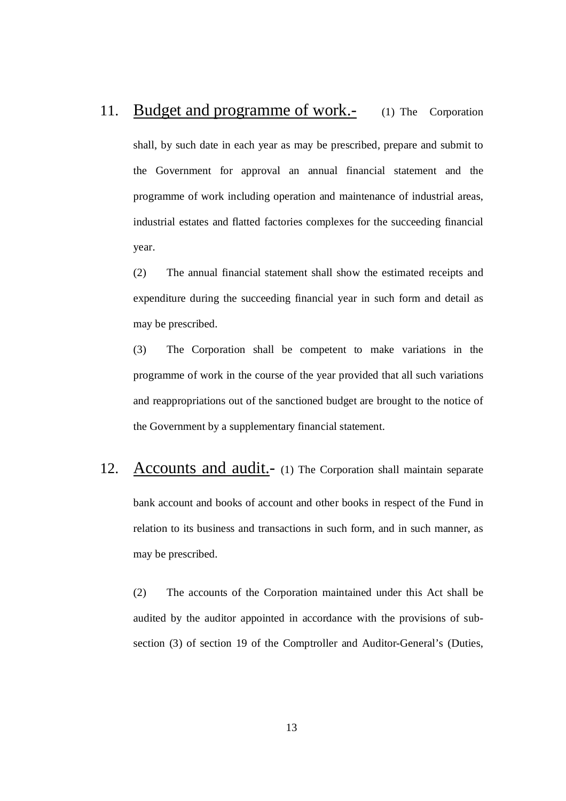### 11. Budget and programme of work.- (1) The Corporation

 shall, by such date in each year as may be prescribed, prepare and submit to the Government for approval an annual financial statement and the programme of work including operation and maintenance of industrial areas, industrial estates and flatted factories complexes for the succeeding financial year.

 $(2)$  expenditure during the succeeding financial year in such form and detail as may be prescribed. The annual financial statement shall show the estimated receipts and

 $(3)$  programme of work in the course of the year provided that all such variations and reappropriations out of the sanctioned budget are brought to the notice of the Government by a supplementary financial statement. The Corporation shall be competent to make variations in the

12. Accounts and audit.- (1) The Corporation shall maintain separate bank account and books of account and other books in respect of the Fund in relation to its business and transactions in such form, and in such manner, as may be prescribed.

 $(2)$  audited by the auditor appointed in accordance with the provisions of sub- section (3) of section 19 of the Comptroller and Auditor-General's (Duties, The accounts of the Corporation maintained under this Act shall be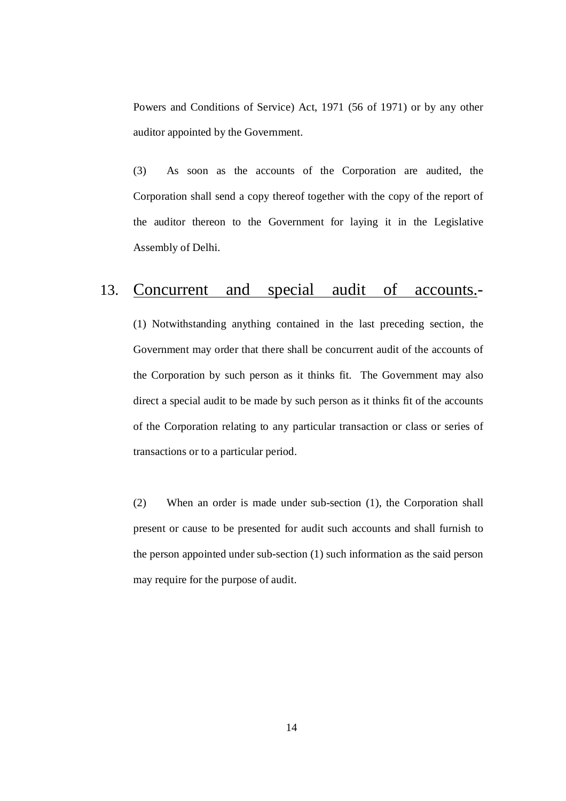Powers and Conditions of Service) Act, 1971 (56 of 1971) or by any other auditor appointed by the Government.

 $(3)$  Corporation shall send a copy thereof together with the copy of the report of the auditor thereon to the Government for laying it in the Legislative Assembly of Delhi. As soon as the accounts of the Corporation are audited, the

### 13. Concurrent and special audit of accounts.-

 (1) Notwithstanding anything contained in the last preceding section, the Government may order that there shall be concurrent audit of the accounts of the Corporation by such person as it thinks fit. The Government may also direct a special audit to be made by such person as it thinks fit of the accounts of the Corporation relating to any particular transaction or class or series of transactions or to a particular period.

 $(2)$  present or cause to be presented for audit such accounts and shall furnish to the person appointed under sub-section (1) such information as the said person may require for the purpose of audit. When an order is made under sub-section  $(1)$ , the Corporation shall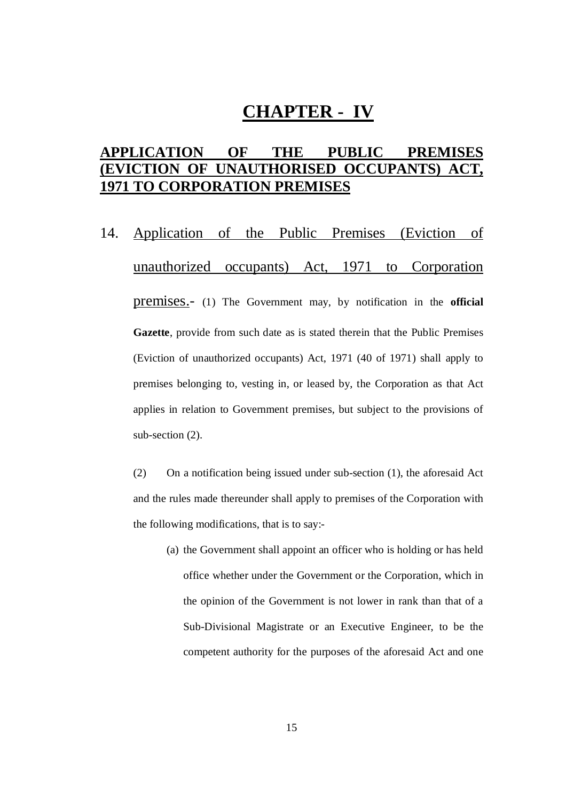# **CHAPTER - IV**

### **APPLICATION OF THE PUBLIC PREMISES (EVICTION OF UNAUTHORISED OCCUPANTS) ACT, 1971 TO CORPORATION PREMISES**

14. Application of the Public Premises (Eviction of unauthorized occupants) Act, 1971 to Corporation premises.- (1) The Government may, by notification in the **official Gazette**, provide from such date as is stated therein that the Public Premises (Eviction of unauthorized occupants) Act, 1971 (40 of 1971) shall apply to premises belonging to, vesting in, or leased by, the Corporation as that Act applies in relation to Government premises, but subject to the provisions of sub-section (2).

 $(2)$  and the rules made thereunder shall apply to premises of the Corporation with the following modifications, that is to say: (2) On a notification being issued under sub-section (1), the aforesaid Act

 (a) the Government shall appoint an officer who is holding or has held office whether under the Government or the Corporation, which in the opinion of the Government is not lower in rank than that of a Sub-Divisional Magistrate or an Executive Engineer, to be the competent authority for the purposes of the aforesaid Act and one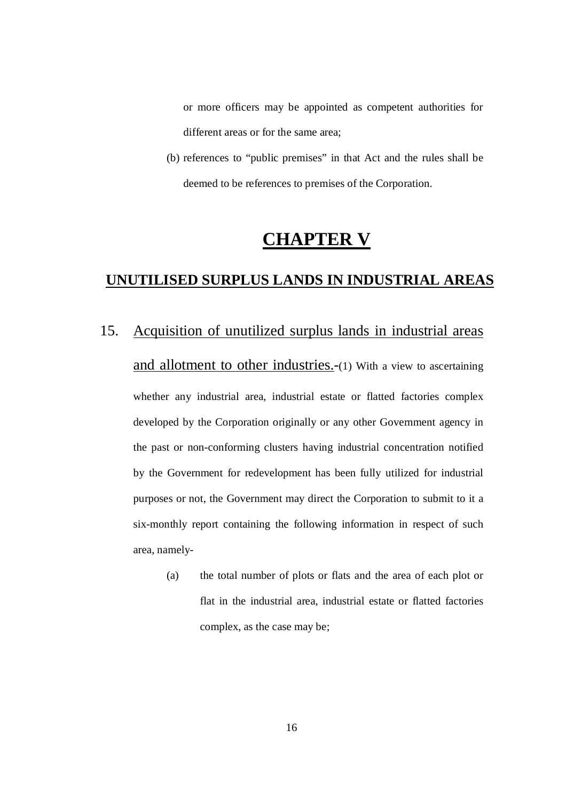or more officers may be appointed as competent authorities for different areas or for the same area;

 (b) references to "public premises" in that Act and the rules shall be deemed to be references to premises of the Corporation.

# **CHAPTER V**

#### **UNUTILISED SURPLUS LANDS IN INDUSTRIAL AREAS**

- 15. Acquisition of unutilized surplus lands in industrial areas and allotment to other industries.-(1) With a view to ascertaining whether any industrial area, industrial estate or flatted factories complex developed by the Corporation originally or any other Government agency in the past or non-conforming clusters having industrial concentration notified by the Government for redevelopment has been fully utilized for industrial purposes or not, the Government may direct the Corporation to submit to it a six-monthly report containing the following information in respect of such area, namely
	- (a) the total number of plots or flats and the area of each plot or flat in the industrial area, industrial estate or flatted factories complex, as the case may be;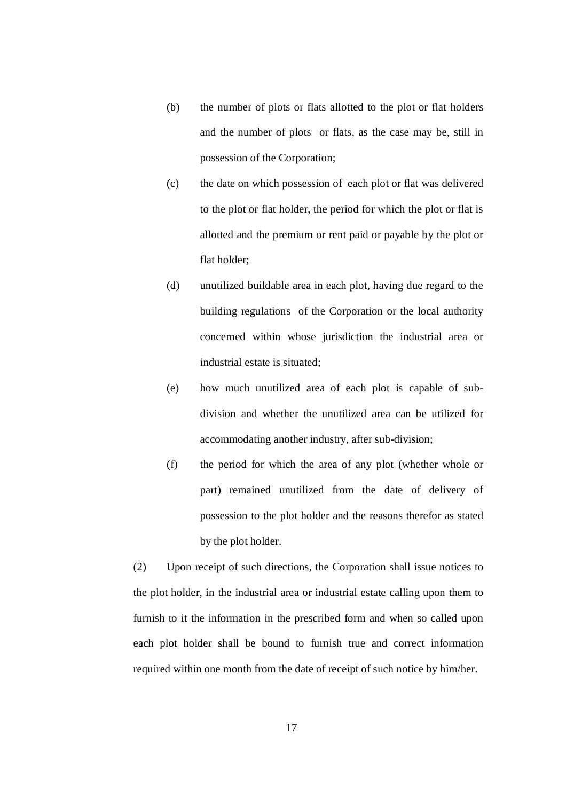- (b) the number of plots or flats allotted to the plot or flat holders and the number of plots or flats, as the case may be, still in possession of the Corporation;
- (c) the date on which possession of each plot or flat was delivered to the plot or flat holder, the period for which the plot or flat is allotted and the premium or rent paid or payable by the plot or flat holder;
- (d) unutilized buildable area in each plot, having due regard to the building regulations of the Corporation or the local authority concerned within whose jurisdiction the industrial area or industrial estate is situated;
- (e) how much unutilized area of each plot is capable of sub- division and whether the unutilized area can be utilized for accommodating another industry, after sub-division;
- (f) the period for which the area of any plot (whether whole or part) remained unutilized from the date of delivery of possession to the plot holder and the reasons therefor as stated by the plot holder.

 $(2)$  the plot holder, in the industrial area or industrial estate calling upon them to furnish to it the information in the prescribed form and when so called upon each plot holder shall be bound to furnish true and correct information required within one month from the date of receipt of such notice by him/her. Upon receipt of such directions, the Corporation shall issue notices to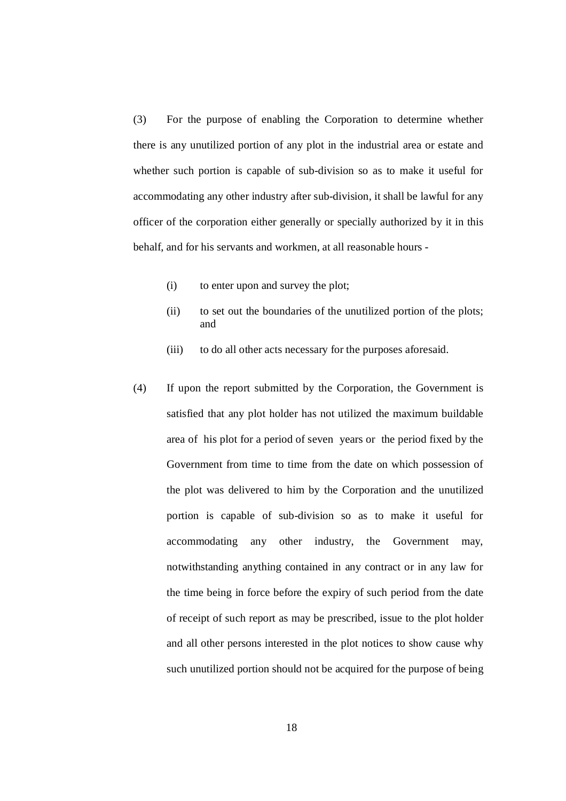$(3)$  there is any unutilized portion of any plot in the industrial area or estate and whether such portion is capable of sub-division so as to make it useful for accommodating any other industry after sub-division, it shall be lawful for any officer of the corporation either generally or specially authorized by it in this behalf, and for his servants and workmen, at all reasonable hours For the purpose of enabling the Corporation to determine whether

- (i) to enter upon and survey the plot;
- (ii) to set out the boundaries of the unutilized portion of the plots; and
- $(iii)$ to do all other acts necessary for the purposes aforesaid.
- $(4)$  satisfied that any plot holder has not utilized the maximum buildable area of his plot for a period of seven years or the period fixed by the Government from time to time from the date on which possession of the plot was delivered to him by the Corporation and the unutilized portion is capable of sub-division so as to make it useful for accommodating notwithstanding anything contained in any contract or in any law for the time being in force before the expiry of such period from the date of receipt of such report as may be prescribed, issue to the plot holder and all other persons interested in the plot notices to show cause why such unutilized portion should not be acquired for the purpose of being If upon the report submitted by the Corporation, the Government is any other industry, the Government may,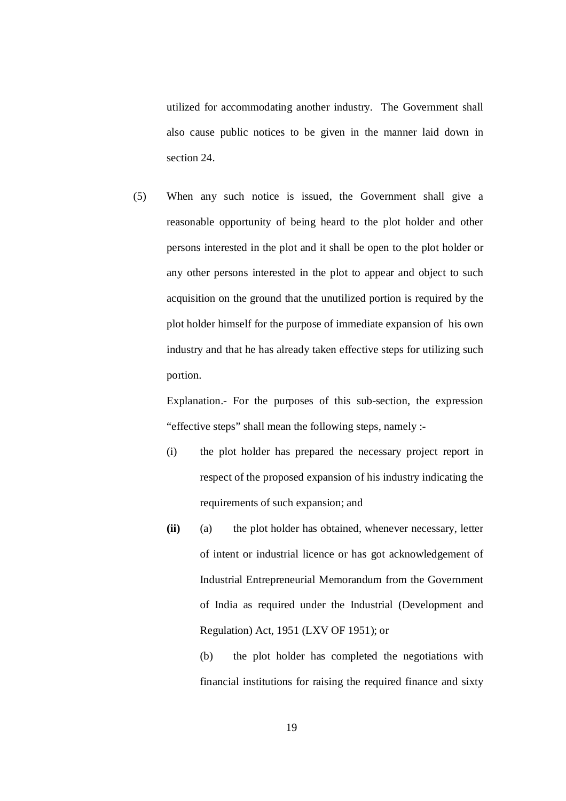utilized for accommodating another industry. The Government shall also cause public notices to be given in the manner laid down in section 24.

 $(5)$  reasonable opportunity of being heard to the plot holder and other persons interested in the plot and it shall be open to the plot holder or any other persons interested in the plot to appear and object to such acquisition on the ground that the unutilized portion is required by the plot holder himself for the purpose of immediate expansion of his own industry and that he has already taken effective steps for utilizing such When any such notice is issued, the Government shall give a portion.

 Explanation.- For the purposes of this sub-section, the expression "effective steps" shall mean the following steps, namely :

- (i) the plot holder has prepared the necessary project report in respect of the proposed expansion of his industry indicating the requirements of such expansion; and
- $(a)$  of intent or industrial licence or has got acknowledgement of Industrial Entrepreneurial Memorandum from the Government of India as required under the Industrial (Development and Regulation) Act, 1951 (LXV OF 1951); or **(ii)** (a) the plot holder has obtained, whenever necessary, letter

 $(b)$  financial institutions for raising the required finance and sixty the plot holder has completed the negotiations with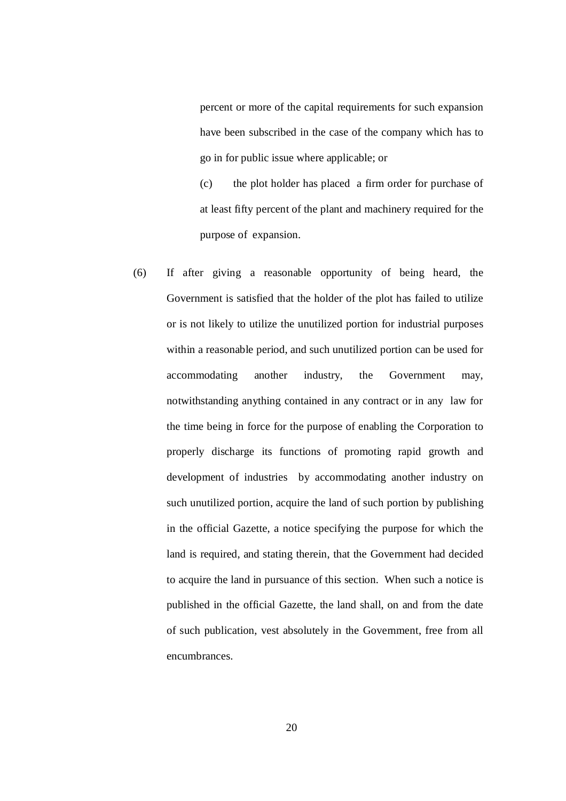percent or more of the capital requirements for such expansion have been subscribed in the case of the company which has to go in for public issue where applicable; or

 $(c)$  at least fifty percent of the plant and machinery required for the purpose of expansion. the plot holder has placed a firm order for purchase of

 $(6)$  Government is satisfied that the holder of the plot has failed to utilize or is not likely to utilize the unutilized portion for industrial purposes within a reasonable period, and such unutilized portion can be used for accommodating another industry, the Government may, notwithstanding anything contained in any contract or in any law for the time being in force for the purpose of enabling the Corporation to properly discharge its functions of promoting rapid growth and development of industries by accommodating another industry on such unutilized portion, acquire the land of such portion by publishing in the official Gazette, a notice specifying the purpose for which the land is required, and stating therein, that the Government had decided to acquire the land in pursuance of this section. When such a notice is published in the official Gazette, the land shall, on and from the date of such publication, vest absolutely in the Government, free from all If after giving a reasonable opportunity of being heard, the encumbrances.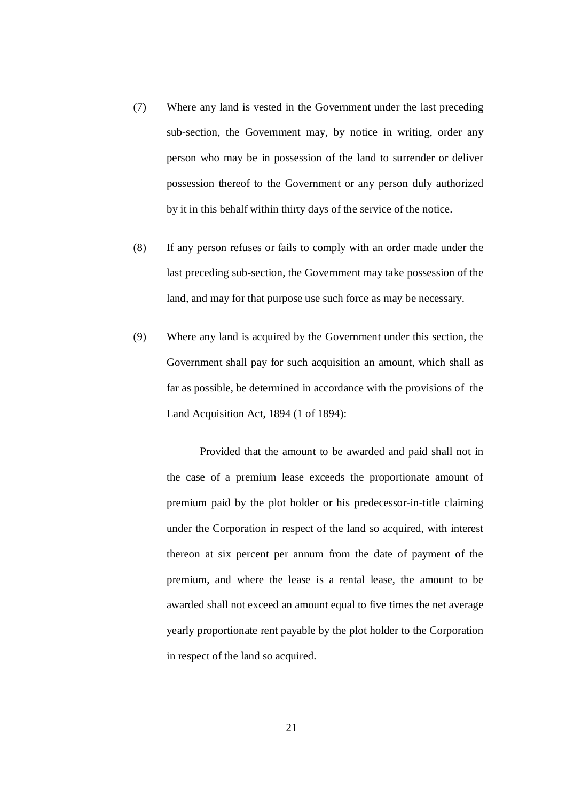- $(7)$  sub-section, the Government may, by notice in writing, order any person who may be in possession of the land to surrender or deliver possession thereof to the Government or any person duly authorized by it in this behalf within thirty days of the service of the notice. Where any land is vested in the Government under the last preceding
- $(8)$  last preceding sub-section, the Government may take possession of the land, and may for that purpose use such force as may be necessary. If any person refuses or fails to comply with an order made under the
- $(9)$  Government shall pay for such acquisition an amount, which shall as far as possible, be determined in accordance with the provisions of the Land Acquisition Act, 1894 (1 of 1894): Where any land is acquired by the Government under this section, the

 Provided that the amount to be awarded and paid shall not in the case of a premium lease exceeds the proportionate amount of premium paid by the plot holder or his predecessor-in-title claiming under the Corporation in respect of the land so acquired, with interest thereon at six percent per annum from the date of payment of the premium, and where the lease is a rental lease, the amount to be awarded shall not exceed an amount equal to five times the net average yearly proportionate rent payable by the plot holder to the Corporation in respect of the land so acquired.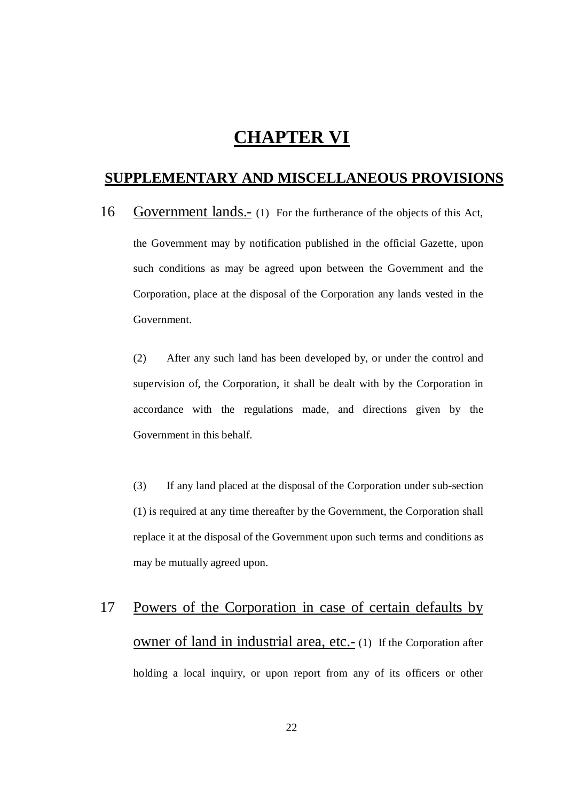## **CHAPTER VI**

#### **SUPPLEMENTARY AND MISCELLANEOUS PROVISIONS**

16 Government lands.- (1) For the furtherance of the objects of this Act, the Government may by notification published in the official Gazette, upon such conditions as may be agreed upon between the Government and the Corporation, place at the disposal of the Corporation any lands vested in the Government.

 $(2)$  supervision of, the Corporation, it shall be dealt with by the Corporation in accordance with the regulations made, and directions given by the Government in this behalf. After any such land has been developed by, or under the control and

 $(3)$  (1) is required at any time thereafter by the Government, the Corporation shall replace it at the disposal of the Government upon such terms and conditions as may be mutually agreed upon. If any land placed at the disposal of the Corporation under sub-section

# 17 owner of land in industrial area, etc.- (1) If the Corporation after holding a local inquiry, or upon report from any of its officers or other Powers of the Corporation in case of certain defaults by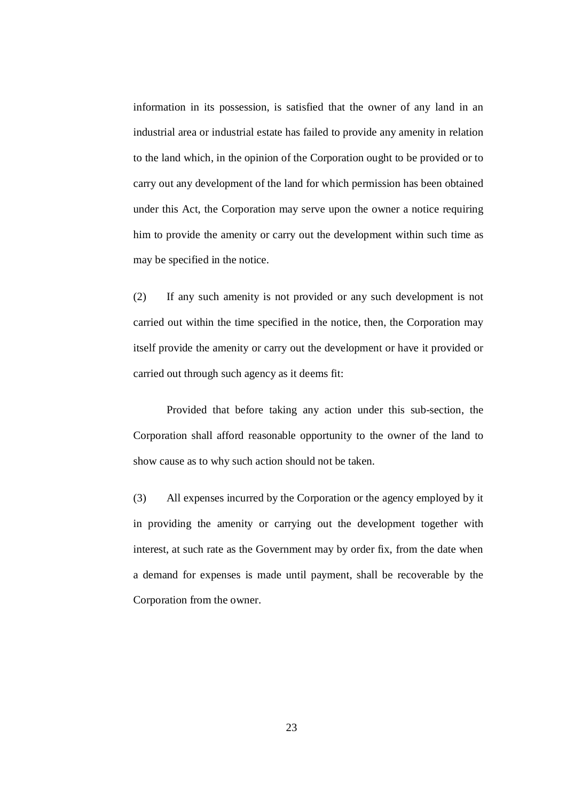information in its possession, is satisfied that the owner of any land in an industrial area or industrial estate has failed to provide any amenity in relation to the land which, in the opinion of the Corporation ought to be provided or to carry out any development of the land for which permission has been obtained under this Act, the Corporation may serve upon the owner a notice requiring him to provide the amenity or carry out the development within such time as may be specified in the notice.

 $(2)$  carried out within the time specified in the notice, then, the Corporation may itself provide the amenity or carry out the development or have it provided or carried out through such agency as it deems fit: If any such amenity is not provided or any such development is not

 Provided that before taking any action under this sub-section, the Corporation shall afford reasonable opportunity to the owner of the land to show cause as to why such action should not be taken.

 $(3)$  in providing the amenity or carrying out the development together with interest, at such rate as the Government may by order fix, from the date when a demand for expenses is made until payment, shall be recoverable by the Corporation from the owner. All expenses incurred by the Corporation or the agency employed by it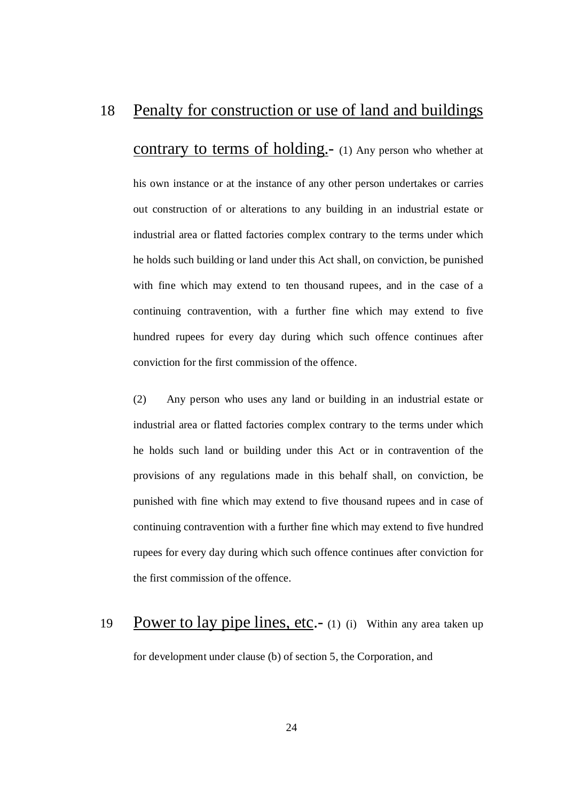#### 18 Penalty for construction or use of land and buildings

contrary to terms of holding.- (1) Any person who whether at

 his own instance or at the instance of any other person undertakes or carries out construction of or alterations to any building in an industrial estate or industrial area or flatted factories complex contrary to the terms under which he holds such building or land under this Act shall, on conviction, be punished with fine which may extend to ten thousand rupees, and in the case of a continuing contravention, with a further fine which may extend to five hundred rupees for every day during which such offence continues after conviction for the first commission of the offence.

 $(2)$  industrial area or flatted factories complex contrary to the terms under which he holds such land or building under this Act or in contravention of the provisions of any regulations made in this behalf shall, on conviction, be punished with fine which may extend to five thousand rupees and in case of continuing contravention with a further fine which may extend to five hundred rupees for every day during which such offence continues after conviction for the first commission of the offence. Any person who uses any land or building in an industrial estate or

## 19 for development under clause (b) of section 5, the Corporation, and Power to lay pipe lines, etc.- (1) (i) Within any area taken up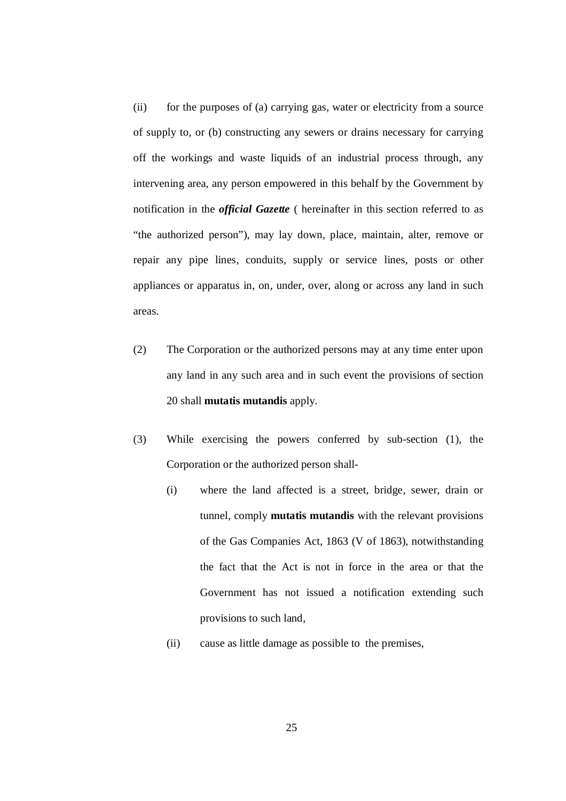$(ii)$  of supply to, or (b) constructing any sewers or drains necessary for carrying off the workings and waste liquids of an industrial process through, any intervening area, any person empowered in this behalf by the Government by notification in the *official Gazette* ( hereinafter in this section referred to as "the authorized person"), may lay down, place, maintain, alter, remove or repair any pipe lines, conduits, supply or service lines, posts or other appliances or apparatus in, on, under, over, along or across any land in such areas. for the purposes of (a) carrying gas, water or electricity from a source

- $(2)$  any land in any such area and in such event the provisions of section 20 shall **mutatis mutandis** apply. The Corporation or the authorized persons may at any time enter upon
- $(3)$  Corporation or the authorized person shall While exercising the powers conferred by sub-section  $(1)$ , the
	- (i) where the land affected is a street, bridge, sewer, drain or tunnel, comply **mutatis mutandis** with the relevant provisions of the Gas Companies Act, 1863 (V of 1863), notwithstanding the fact that the Act is not in force in the area or that the Government has not issued a notification extending such provisions to such land,
	- (ii) cause as little damage as possible to the premises,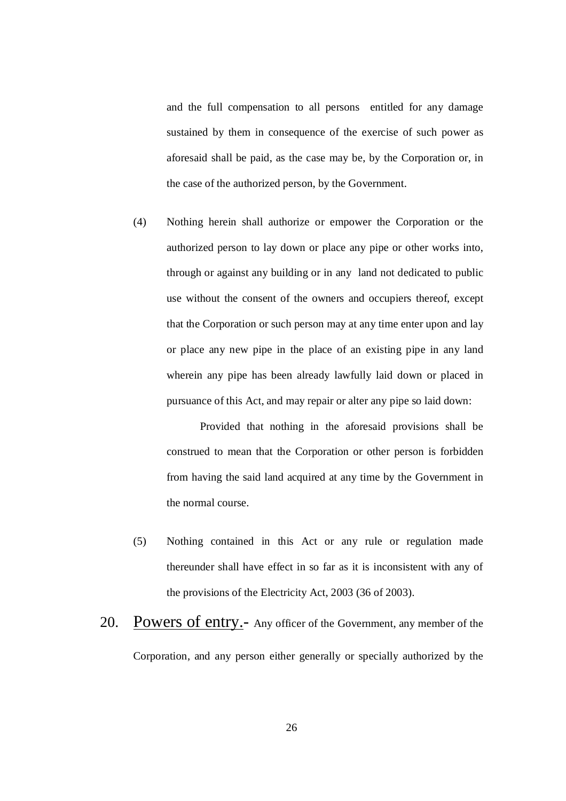and the full compensation to all persons entitled for any damage sustained by them in consequence of the exercise of such power as aforesaid shall be paid, as the case may be, by the Corporation or, in the case of the authorized person, by the Government.

 $(4)$  authorized person to lay down or place any pipe or other works into, through or against any building or in any land not dedicated to public use without the consent of the owners and occupiers thereof, except that the Corporation or such person may at any time enter upon and lay or place any new pipe in the place of an existing pipe in any land wherein any pipe has been already lawfully laid down or placed in pursuance of this Act, and may repair or alter any pipe so laid down: Nothing herein shall authorize or empower the Corporation or the

 Provided that nothing in the aforesaid provisions shall be construed to mean that the Corporation or other person is forbidden from having the said land acquired at any time by the Government in the normal course.

- $(5)$  thereunder shall have effect in so far as it is inconsistent with any of the provisions of the Electricity Act, 2003 (36 of 2003). Nothing contained in this Act or any rule or regulation made
- 20. Powers of entry.- Any officer of the Government, any member of the Corporation, and any person either generally or specially authorized by the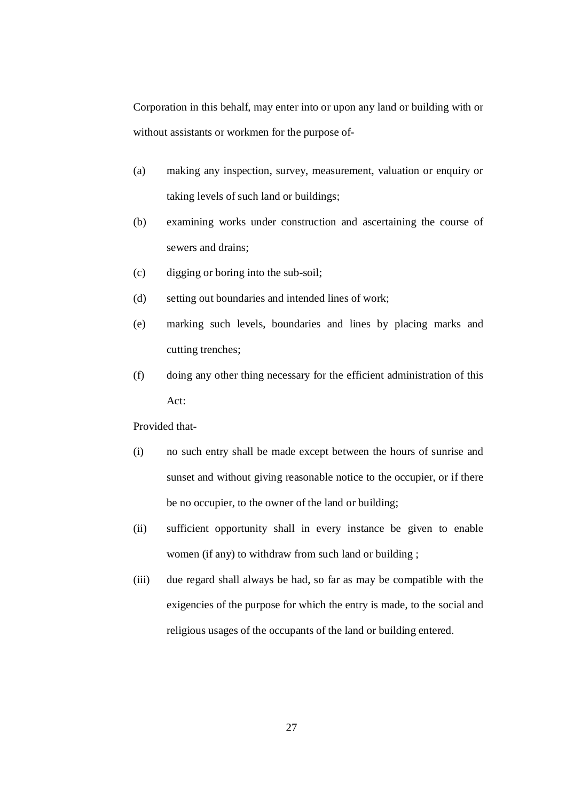Corporation in this behalf, may enter into or upon any land or building with or without assistants or workmen for the purpose of

- (a) making any inspection, survey, measurement, valuation or enquiry or taking levels of such land or buildings;
- (b) examining works under construction and ascertaining the course of sewers and drains;
- (c) digging or boring into the sub-soil;
- (d) setting out boundaries and intended lines of work;
- (e) marking such levels, boundaries and lines by placing marks and cutting trenches;
- (f) doing any other thing necessary for the efficient administration of this Act:

Provided that

- (i) no such entry shall be made except between the hours of sunrise and sunset and without giving reasonable notice to the occupier, or if there be no occupier, to the owner of the land or building;
- (ii) sufficient opportunity shall in every instance be given to enable women (if any) to withdraw from such land or building ;
- (iii) due regard shall always be had, so far as may be compatible with the exigencies of the purpose for which the entry is made, to the social and religious usages of the occupants of the land or building entered.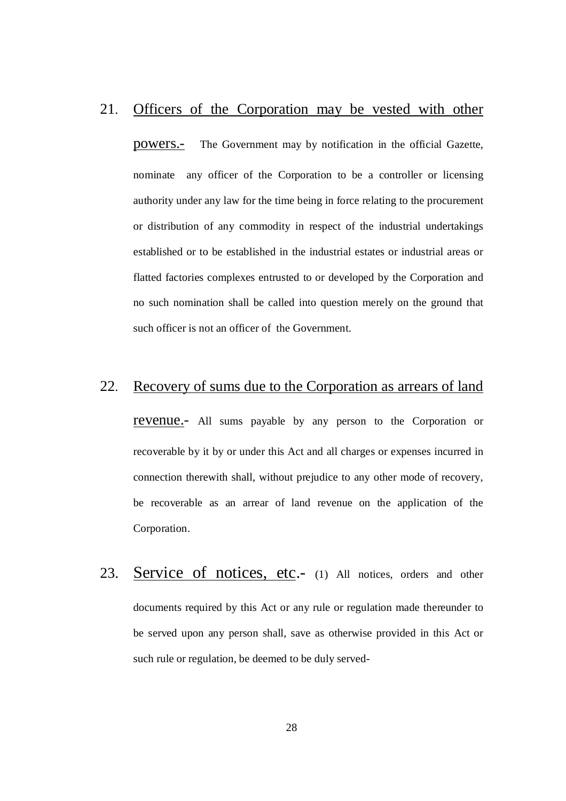#### 21. Officers of the Corporation may be vested with other

powers.- nominate any officer of the Corporation to be a controller or licensing authority under any law for the time being in force relating to the procurement or distribution of any commodity in respect of the industrial undertakings established or to be established in the industrial estates or industrial areas or flatted factories complexes entrusted to or developed by the Corporation and no such nomination shall be called into question merely on the ground that such officer is not an officer of the Government. The Government may by notification in the official Gazette,

#### 22. Recovery of sums due to the Corporation as arrears of land

revenue.- All sums payable by any person to the Corporation or recoverable by it by or under this Act and all charges or expenses incurred in connection therewith shall, without prejudice to any other mode of recovery, be recoverable as an arrear of land revenue on the application of the Corporation.

23. documents required by this Act or any rule or regulation made thereunder to be served upon any person shall, save as otherwise provided in this Act or such rule or regulation, be deemed to be duly served-Service of notices, etc.- (1) All notices, orders and other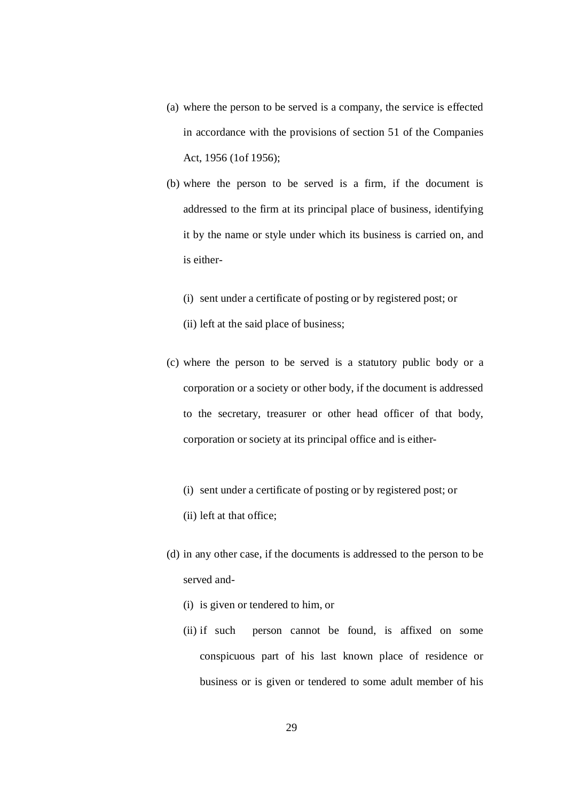- (a) where the person to be served is a company, the service is effected in accordance with the provisions of section 51 of the Companies Act, 1956 (1of 1956);
- (b) where the person to be served is a firm, if the document is addressed to the firm at its principal place of business, identifying it by the name or style under which its business is carried on, and is either
	- (i) sent under a certificate of posting or by registered post; or
	- (ii) left at the said place of business;
- (c) where the person to be served is a statutory public body or a corporation or a society or other body, if the document is addressed to the secretary, treasurer or other head officer of that body, corporation or society at its principal office and is either
	- (i) sent under a certificate of posting or by registered post; or
	- (ii) left at that office;
- (d) in any other case, if the documents is addressed to the person to be served and
	- (i) is given or tendered to him, or
	- $(ii)$  if such conspicuous part of his last known place of residence or business or is given or tendered to some adult member of his person cannot be found, is affixed on some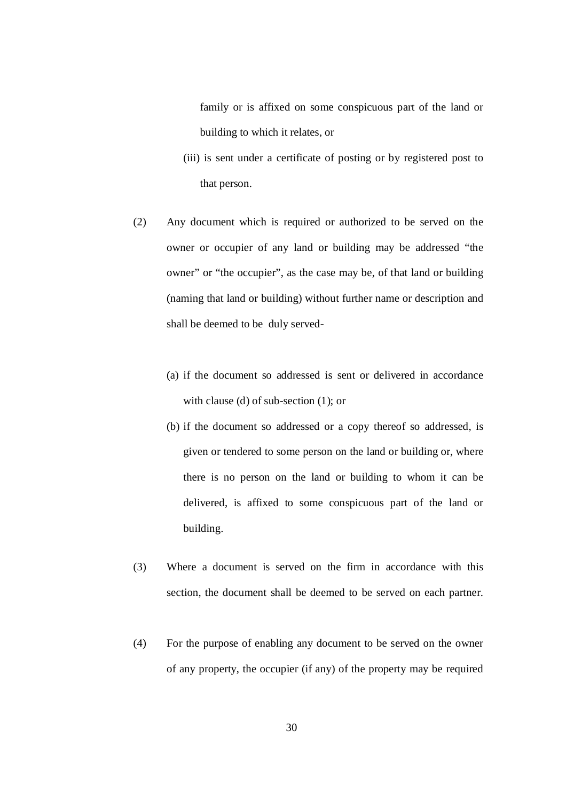family or is affixed on some conspicuous part of the land or building to which it relates, or

- (iii) is sent under a certificate of posting or by registered post to that person.
- $(2)$  owner or occupier of any land or building may be addressed "the owner" or "the occupier", as the case may be, of that land or building (naming that land or building) without further name or description and shall be deemed to be duly served Any document which is required or authorized to be served on the
	- (a) if the document so addressed is sent or delivered in accordance with clause (d) of sub-section (1); or
	- (b) if the document so addressed or a copy thereof so addressed, is given or tendered to some person on the land or building or, where there is no person on the land or building to whom it can be delivered, is affixed to some conspicuous part of the land or building.
- $(3)$  section, the document shall be deemed to be served on each partner. Where a document is served on the firm in accordance with this
- (4) For the purpose of enabling any document to be served on the owner of any property, the occupier (if any) of the property may be required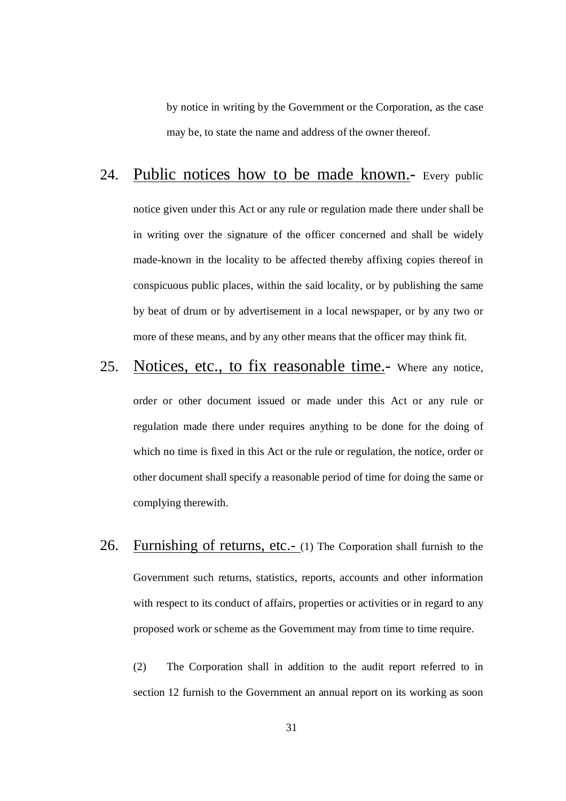by notice in writing by the Government or the Corporation, as the case may be, to state the name and address of the owner thereof.

#### 24. Public notices how to be made known.- Every public

 notice given under this Act or any rule or regulation made there under shall be in writing over the signature of the officer concerned and shall be widely made-known in the locality to be affected thereby affixing copies thereof in conspicuous public places, within the said locality, or by publishing the same by beat of drum or by advertisement in a local newspaper, or by any two or more of these means, and by any other means that the officer may think fit.

### 25. Notices, etc., to fix reasonable time.- Where any notice,

 order or other document issued or made under this Act or any rule or regulation made there under requires anything to be done for the doing of which no time is fixed in this Act or the rule or regulation, the notice, order or other document shall specify a reasonable period of time for doing the same or complying therewith.

26. Furnishing of returns, etc.- (1) The Corporation shall furnish to the Government such returns, statistics, reports, accounts and other information with respect to its conduct of affairs, properties or activities or in regard to any proposed work or scheme as the Government may from time to time require.

 $(2)$  section 12 furnish to the Government an annual report on its working as soon The Corporation shall in addition to the audit report referred to in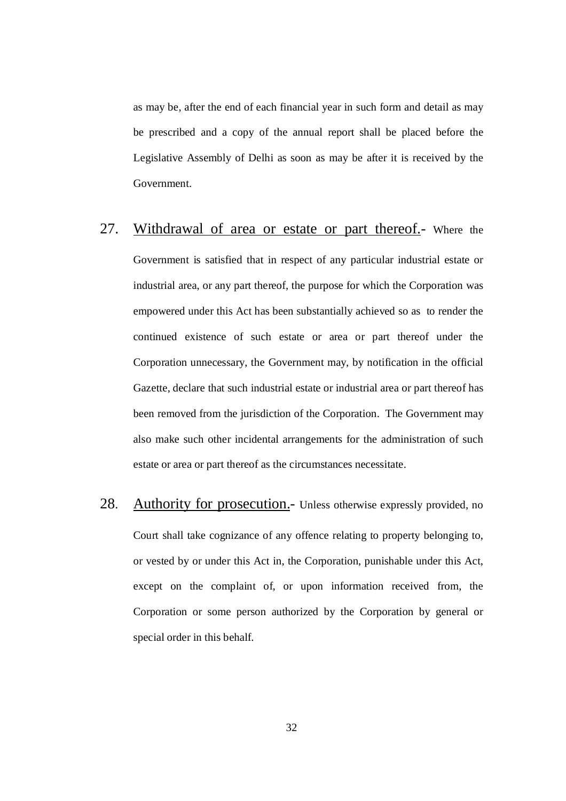as may be, after the end of each financial year in such form and detail as may be prescribed and a copy of the annual report shall be placed before the Legislative Assembly of Delhi as soon as may be after it is received by the Government.

# Government.<br>27. Withdrawal of area or estate or part thereof.- Where the

 Government is satisfied that in respect of any particular industrial estate or industrial area, or any part thereof, the purpose for which the Corporation was empowered under this Act has been substantially achieved so as to render the continued existence of such estate or area or part thereof under the Corporation unnecessary, the Government may, by notification in the official Gazette, declare that such industrial estate or industrial area or part thereof has been removed from the jurisdiction of the Corporation. The Government may also make such other incidental arrangements for the administration of such estate or area or part thereof as the circumstances necessitate.

28. Court shall take cognizance of any offence relating to property belonging to, or vested by or under this Act in, the Corporation, punishable under this Act, except on the complaint of, or upon information received from, the Corporation or some person authorized by the Corporation by general or special order in this behalf. Authority for prosecution.- Unless otherwise expressly provided, no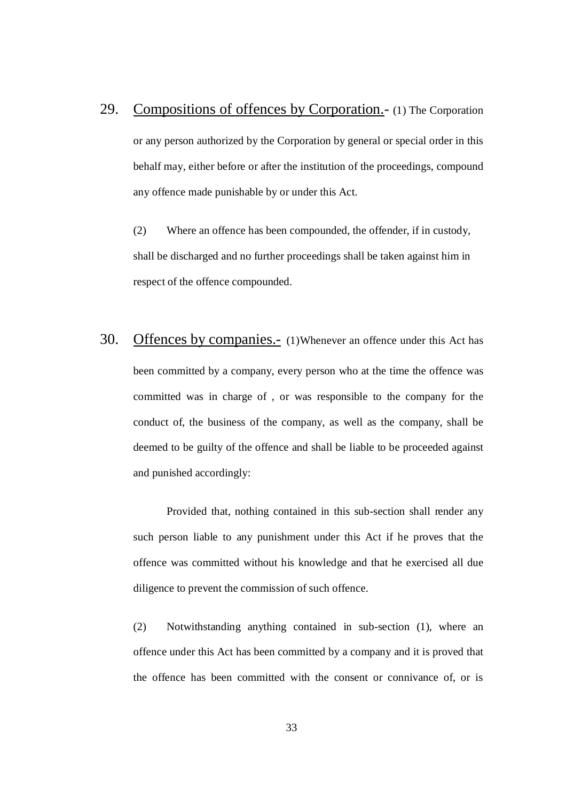29. Compositions of offences by Corporation.- (1) The Corporation or any person authorized by the Corporation by general or special order in this behalf may, either before or after the institution of the proceedings, compound any offence made punishable by or under this Act.

 $(2)$  shall be discharged and no further proceedings shall be taken against him in respect of the offence compounded. Where an offence has been compounded, the offender, if in custody,

 $30<sup>2</sup>$  been committed by a company, every person who at the time the offence was committed was in charge of , or was responsible to the company for the conduct of, the business of the company, as well as the company, shall be deemed to be guilty of the offence and shall be liable to be proceeded against and punished accordingly: Offences by companies.- (1)Whenever an offence under this Act has

 Provided that, nothing contained in this sub-section shall render any such person liable to any punishment under this Act if he proves that the offence was committed without his knowledge and that he exercised all due diligence to prevent the commission of such offence.

 (2) Notwithstanding anything contained in sub-section (1), where an offence under this Act has been committed by a company and it is proved that the offence has been committed with the consent or connivance of, or is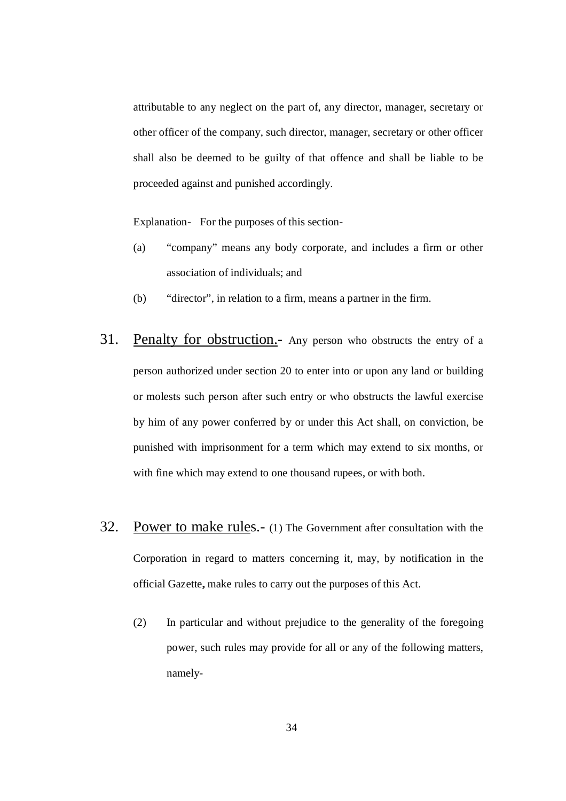attributable to any neglect on the part of, any director, manager, secretary or other officer of the company, such director, manager, secretary or other officer shall also be deemed to be guilty of that offence and shall be liable to be proceeded against and punished accordingly.

Explanation- For the purposes of this section

- (a) "company" means any body corporate, and includes a firm or other association of individuals; and
- (b) "director", in relation to a firm, means a partner in the firm.
- 31. Penalty for obstruction.- Any person who obstructs the entry of a person authorized under section 20 to enter into or upon any land or building or molests such person after such entry or who obstructs the lawful exercise by him of any power conferred by or under this Act shall, on conviction, be punished with imprisonment for a term which may extend to six months, or with fine which may extend to one thousand rupees, or with both.
- 32. Power to make rules.- (1) The Government after consultation with the Corporation in regard to matters concerning it, may, by notification in the official Gazette**,** make rules to carry out the purposes of this Act.
	- (2) In particular and without prejudice to the generality of the foregoing power, such rules may provide for all or any of the following matters, namely-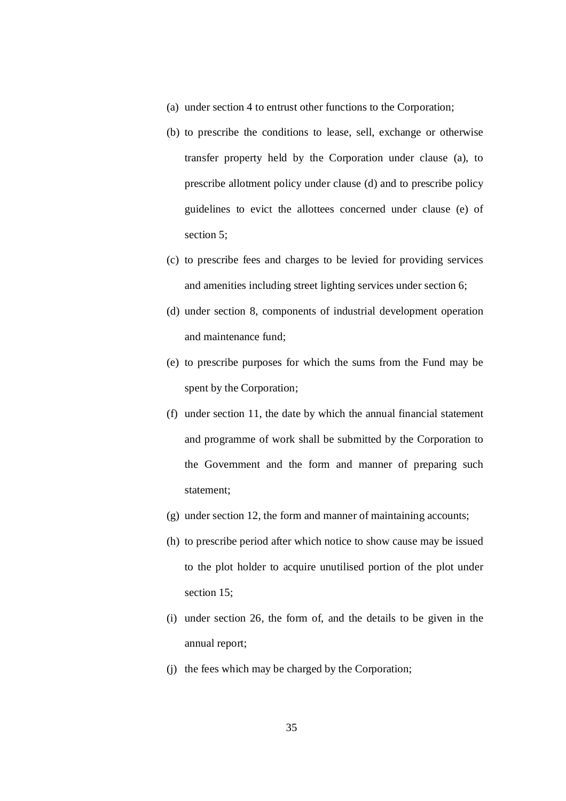- (a) under section 4 to entrust other functions to the Corporation;
- (b) to prescribe the conditions to lease, sell, exchange or otherwise transfer property held by the Corporation under clause (a), to prescribe allotment policy under clause (d) and to prescribe policy guidelines to evict the allottees concerned under clause (e) of section 5;
- (c) to prescribe fees and charges to be levied for providing services and amenities including street lighting services under section 6;
- (d) under section 8, components of industrial development operation and maintenance fund;
- (e) to prescribe purposes for which the sums from the Fund may be spent by the Corporation;
- (f) under section 11, the date by which the annual financial statement and programme of work shall be submitted by the Corporation to the Government and the form and manner of preparing such statement;
- (g) under section 12, the form and manner of maintaining accounts;
- (h) to prescribe period after which notice to show cause may be issued section 15; to the plot holder to acquire unutilised portion of the plot under
- (i) under section 26, the form of, and the details to be given in the annual report;
- (j) the fees which may be charged by the Corporation;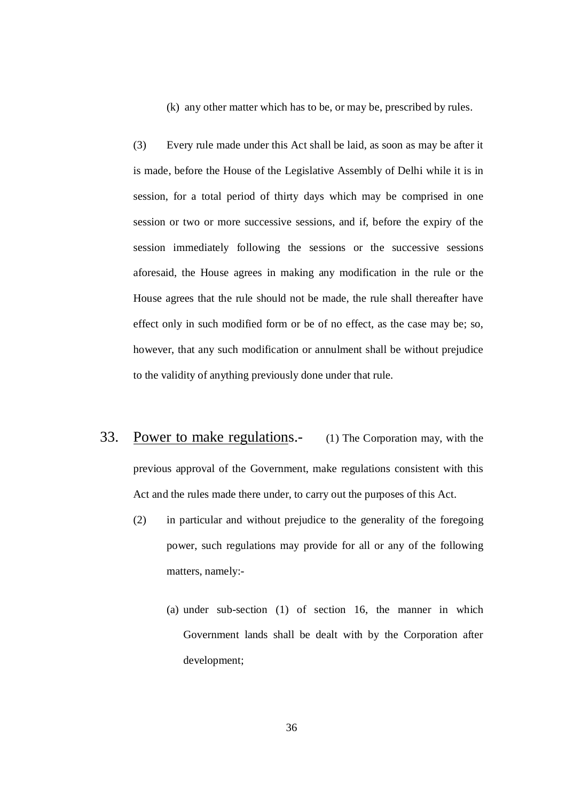(k) any other matter which has to be, or may be, prescribed by rules.

 $(3)$  is made, before the House of the Legislative Assembly of Delhi while it is in session, for a total period of thirty days which may be comprised in one session or two or more successive sessions, and if, before the expiry of the session immediately following the sessions or the successive sessions aforesaid, the House agrees in making any modification in the rule or the House agrees that the rule should not be made, the rule shall thereafter have effect only in such modified form or be of no effect, as the case may be; so, however, that any such modification or annulment shall be without prejudice to the validity of anything previously done under that rule. Every rule made under this Act shall be laid, as soon as may be after it

- 33. Power to make regulations.- (1) The Corporation may, with the previous approval of the Government, make regulations consistent with this Act and the rules made there under, to carry out the purposes of this Act.
	- $(2)$  power, such regulations may provide for all or any of the following matters, namely: in particular and without prejudice to the generality of the foregoing
		- (a) under sub-section (1) of section 16, the manner in which Government lands shall be dealt with by the Corporation after development;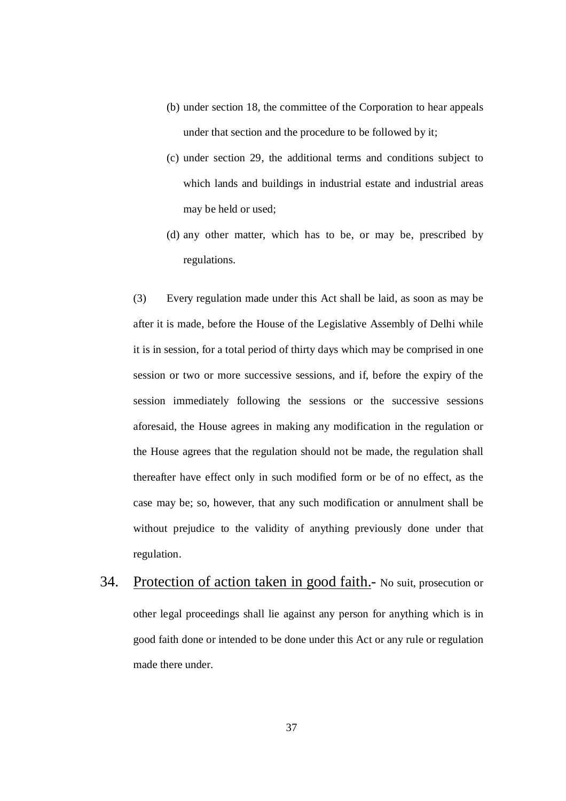- (b) under section 18, the committee of the Corporation to hear appeals under that section and the procedure to be followed by it;
- (c) under section 29, the additional terms and conditions subject to which lands and buildings in industrial estate and industrial areas may be held or used;
- (d) any other matter, which has to be, or may be, prescribed by regulations.

 $(3)$  after it is made, before the House of the Legislative Assembly of Delhi while it is in session, for a total period of thirty days which may be comprised in one session or two or more successive sessions, and if, before the expiry of the session immediately following the sessions or the successive sessions aforesaid, the House agrees in making any modification in the regulation or the House agrees that the regulation should not be made, the regulation shall thereafter have effect only in such modified form or be of no effect, as the case may be; so, however, that any such modification or annulment shall be without prejudice to the validity of anything previously done under that Every regulation made under this Act shall be laid, as soon as may be regulation.

34. Protection of action taken in good faith.- No suit, prosecution or other legal proceedings shall lie against any person for anything which is in good faith done or intended to be done under this Act or any rule or regulation made there under.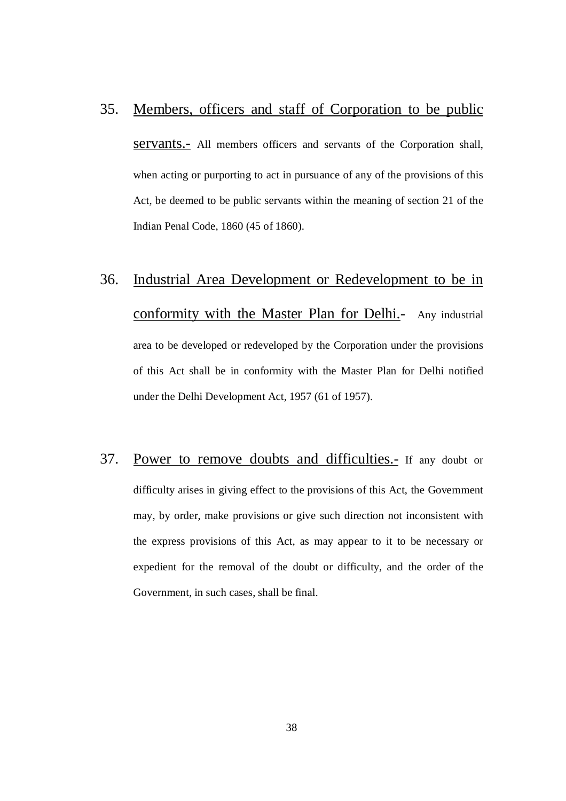#### 35. Members, officers and staff of Corporation to be public

servants.- All members officers and servants of the Corporation shall, when acting or purporting to act in pursuance of any of the provisions of this Act, be deemed to be public servants within the meaning of section 21 of the Indian Penal Code, 1860 (45 of 1860).

# $36.$ conformity with the Master Plan for Delhi.- Any industrial area to be developed or redeveloped by the Corporation under the provisions of this Act shall be in conformity with the Master Plan for Delhi notified under the Delhi Development Act, 1957 (61 of 1957). Industrial Area Development or Redevelopment to be in

37. difficulty arises in giving effect to the provisions of this Act, the Government may, by order, make provisions or give such direction not inconsistent with the express provisions of this Act, as may appear to it to be necessary or expedient for the removal of the doubt or difficulty, and the order of the Government, in such cases, shall be final. Power to remove doubts and difficulties.- If any doubt or